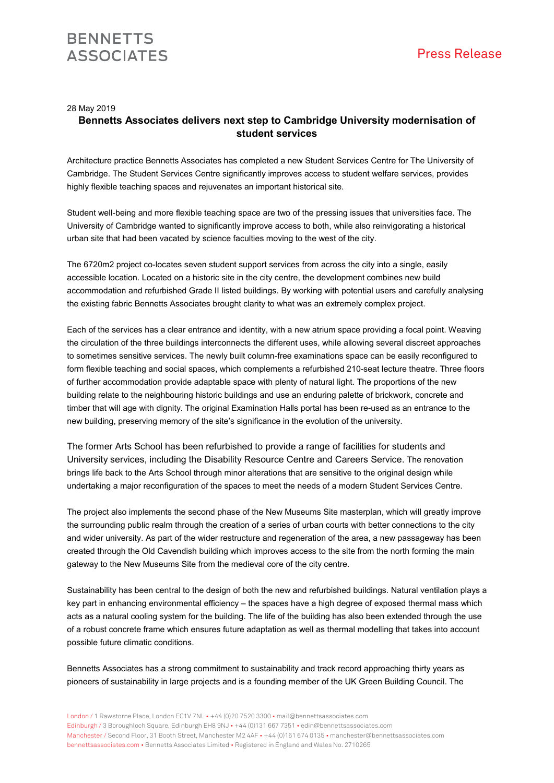28 May 2019

## **Bennetts Associates delivers next step to Cambridge University modernisation of student services**

Architecture practice Bennetts Associates has completed a new Student Services Centre for The University of Cambridge. The Student Services Centre significantly improves access to student welfare services, provides highly flexible teaching spaces and rejuvenates an important historical site.

Student well-being and more flexible teaching space are two of the pressing issues that universities face. The University of Cambridge wanted to significantly improve access to both, while also reinvigorating a historical urban site that had been vacated by science faculties moving to the west of the city.

The 6720m2 project co-locates seven student support services from across the city into a single, easily accessible location. Located on a historic site in the city centre, the development combines new build accommodation and refurbished Grade II listed buildings. By working with potential users and carefully analysing the existing fabric Bennetts Associates brought clarity to what was an extremely complex project.

Each of the services has a clear entrance and identity, with a new atrium space providing a focal point. Weaving the circulation of the three buildings interconnects the different uses, while allowing several discreet approaches to sometimes sensitive services. The newly built column-free examinations space can be easily reconfigured to form flexible teaching and social spaces, which complements a refurbished 210-seat lecture theatre. Three floors of further accommodation provide adaptable space with plenty of natural light. The proportions of the new building relate to the neighbouring historic buildings and use an enduring palette of brickwork, concrete and timber that will age with dignity. The original Examination Halls portal has been re-used as an entrance to the new building, preserving memory of the site's significance in the evolution of the university.

The former Arts School has been refurbished to provide a range of facilities for students and University services, including the Disability Resource Centre and Careers Service. The renovation brings life back to the Arts School through minor alterations that are sensitive to the original design while undertaking a major reconfiguration of the spaces to meet the needs of a modern Student Services Centre.

The project also implements the second phase of the New Museums Site masterplan, which will greatly improve the surrounding public realm through the creation of a series of urban courts with better connections to the city and wider university. As part of the wider restructure and regeneration of the area, a new passageway has been created through the Old Cavendish building which improves access to the site from the north forming the main gateway to the New Museums Site from the medieval core of the city centre.

Sustainability has been central to the design of both the new and refurbished buildings. Natural ventilation plays a key part in enhancing environmental efficiency – the spaces have a high degree of exposed thermal mass which acts as a natural cooling system for the building. The life of the building has also been extended through the use of a robust concrete frame which ensures future adaptation as well as thermal modelling that takes into account possible future climatic conditions.

Bennetts Associates has a strong commitment to sustainability and track record approaching thirty years as pioneers of sustainability in large projects and is a founding member of the UK Green Building Council. The

London / 1 Rawstorne Place, London EC1V 7NL • +44 (0)20 7520 3300 • mail@bennettsassociates.com Edinburgh / 3 Boroughloch Square, Edinburgh EH8 9NJ • +44 (0)131 667 7351 • edin@bennettsassociates.com Manchester / Second Floor, 31 Booth Street, Manchester M2 4AF • +44 (0)161 674 0135 • manchester@bennettsassociates.com bennettsassociates.com • Bennetts Associates Limited • Registered in England and Wales No. 2710265